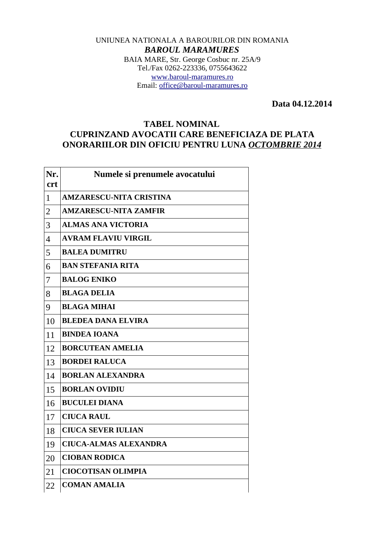## UNIUNEA NATIONALA A BAROURILOR DIN ROMANIA *BAROUL MARAMURES* BAIA MARE, Str. George Cosbuc nr. 25A/9 Tel./Fax 0262-223336, 0755643622 [www.baroul-maramures.ro](http://www.baroul-maramures.ro/) Email: [office@baroul-maramures.ro](mailto:office@baroul-maramures.ro)

 **Data 04.12.2014**

## **TABEL NOMINAL CUPRINZAND AVOCATII CARE BENEFICIAZA DE PLATA ONORARIILOR DIN OFICIU PENTRU LUNA** *OCTOMBRIE 2014*

| Nr.                      | Numele si prenumele avocatului |
|--------------------------|--------------------------------|
| <b>crt</b>               |                                |
| $\mathbf{1}$             | <b>AMZARESCU-NITA CRISTINA</b> |
| $\overline{2}$           | <b>AMZARESCU-NITA ZAMFIR</b>   |
| 3                        | <b>ALMAS ANA VICTORIA</b>      |
| $\overline{\mathcal{A}}$ | <b>AVRAM FLAVIU VIRGIL</b>     |
| 5                        | <b>BALEA DUMITRU</b>           |
| 6                        | <b>BAN STEFANIA RITA</b>       |
| 7                        | <b>BALOG ENIKO</b>             |
| 8                        | <b>BLAGA DELIA</b>             |
| 9                        | <b>BLAGA MIHAI</b>             |
| 10                       | <b>BLEDEA DANA ELVIRA</b>      |
| 11                       | <b>BINDEA IOANA</b>            |
| 12                       | <b>BORCUTEAN AMELIA</b>        |
| 13                       | <b>BORDEI RALUCA</b>           |
| 14                       | <b>BORLAN ALEXANDRA</b>        |
| 15                       | <b>BORLAN OVIDIU</b>           |
| 16                       | <b>BUCULEI DIANA</b>           |
| 17                       | <b>CIUCA RAUL</b>              |
| 18                       | <b>CIUCA SEVER IULIAN</b>      |
| 19                       | <b>CIUCA-ALMAS ALEXANDRA</b>   |
| 20                       | <b>CIOBAN RODICA</b>           |
| 21                       | <b>CIOCOTISAN OLIMPIA</b>      |
| 22                       | <b>COMAN AMALIA</b>            |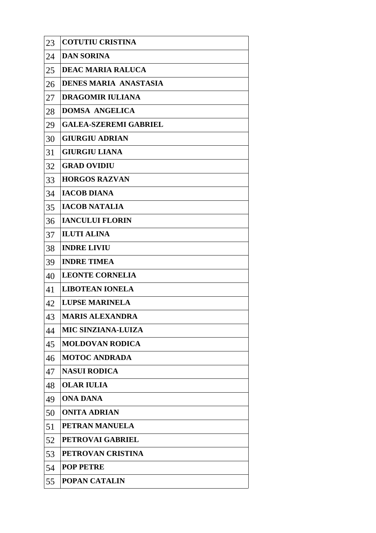| 23 | <b>COTUTIU CRISTINA</b>      |
|----|------------------------------|
| 24 | <b>DAN SORINA</b>            |
| 25 | <b>DEAC MARIA RALUCA</b>     |
| 26 | <b>DENES MARIA ANASTASIA</b> |
| 27 | <b>DRAGOMIR IULIANA</b>      |
| 28 | <b>DOMSA ANGELICA</b>        |
| 29 | <b>GALEA-SZEREMI GABRIEL</b> |
| 30 | <b>GIURGIU ADRIAN</b>        |
| 31 | <b>GIURGIU LIANA</b>         |
| 32 | <b>GRAD OVIDIU</b>           |
| 33 | <b>HORGOS RAZVAN</b>         |
| 34 | <b>IACOB DIANA</b>           |
| 35 | <b>IACOB NATALIA</b>         |
| 36 | <b>IANCULUI FLORIN</b>       |
| 37 | <b>ILUTI ALINA</b>           |
| 38 | <b>INDRE LIVIU</b>           |
| 39 | <b>INDRE TIMEA</b>           |
| 40 | <b>LEONTE CORNELIA</b>       |
| 41 | <b>LIBOTEAN IONELA</b>       |
| 42 | <b>LUPSE MARINELA</b>        |
| 43 | <b>MARIS ALEXANDRA</b>       |
| 44 | <b>MIC SINZIANA-LUIZA</b>    |
| 45 | <b>MOLDOVAN RODICA</b>       |
| 46 | <b>MOTOC ANDRADA</b>         |
| 47 | <b>NASUI RODICA</b>          |
| 48 | <b>OLAR IULIA</b>            |
| 49 | <b>ONA DANA</b>              |
| 50 | <b>ONITA ADRIAN</b>          |
| 51 | PETRAN MANUELA               |
| 52 | <b>PETROVAI GABRIEL</b>      |
| 53 | PETROVAN CRISTINA            |
| 54 | <b>POP PETRE</b>             |
| 55 | <b>POPAN CATALIN</b>         |